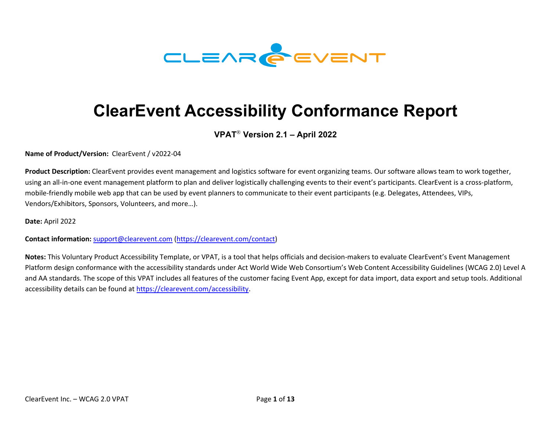

# **ClearEvent Accessibility Conformance Report**

#### **VPAT**® **Version 2.1 – April 2022**

**Name of Product/Version:** ClearEvent / v2022-04

**Product Description:** ClearEvent provides event management and logistics software for event organizing teams. Our software allows team to work together, using an all-in-one event management platform to plan and deliver logistically challenging events to their event's participants. ClearEvent is a cross-platform, mobile-friendly mobile web app that can be used by event planners to communicate to their event participants (e.g. Delegates, Attendees, VIPs, Vendors/Exhibitors, Sponsors, Volunteers, and more…).

**Date:** April 2022

**Contact information:** [support@clearevent.com](mailto:support@clearevent.com) [\(https://clearevent.com/contact\)](https://clearevent.com/contact)

**Notes:** This Voluntary Product Accessibility Template, or VPAT, is a tool that helps officials and decision-makers to evaluate ClearEvent's Event Management Platform design conformance with the accessibility standards under Act World Wide Web Consortium's Web Content Accessibility Guidelines (WCAG 2.0) Level A and AA standards. The scope of this VPAT includes all features of the customer facing Event App, except for data import, data export and setup tools. Additional accessibility details can be found at [https://clearevent.com/accessibility.](https://clearevent.com/accessibility)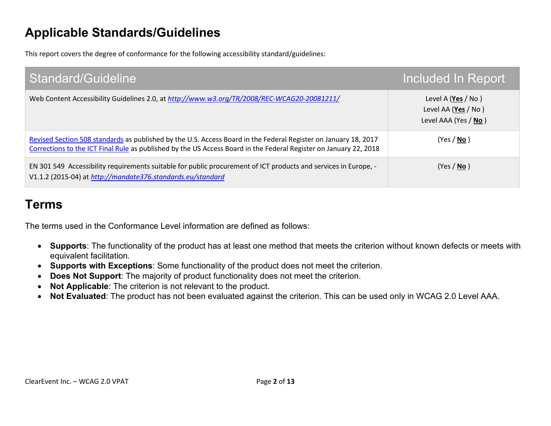# **Applicable Standards/Guidelines**

This report covers the degree of conformance for the following accessibility standard/guidelines:

| Standard/Guideline                                                                                                                                                                                                                   | Included In Report                                                |
|--------------------------------------------------------------------------------------------------------------------------------------------------------------------------------------------------------------------------------------|-------------------------------------------------------------------|
| Web Content Accessibility Guidelines 2.0, at http://www.w3.org/TR/2008/REC-WCAG20-20081211/                                                                                                                                          | Level A (Yes / No)<br>Level AA (Yes / No)<br>Level AAA (Yes / No) |
| Revised Section 508 standards as published by the U.S. Access Board in the Federal Register on January 18, 2017<br>Corrections to the ICT Final Rule as published by the US Access Board in the Federal Register on January 22, 2018 | (Yes / No)                                                        |
| EN 301 549 Accessibility requirements suitable for public procurement of ICT products and services in Europe, -<br>V1.1.2 (2015-04) at http://mandate376.standards.eu/standard                                                       | (Yes / No)                                                        |

# **Terms**

The terms used in the Conformance Level information are defined as follows:

- **Supports**: The functionality of the product has at least one method that meets the criterion without known defects or meets with equivalent facilitation.
- **Supports with Exceptions**: Some functionality of the product does not meet the criterion.
- **Does Not Support**: The majority of product functionality does not meet the criterion.
- **Not Applicable**: The criterion is not relevant to the product.
- **Not Evaluated**: The product has not been evaluated against the criterion. This can be used only in WCAG 2.0 Level AAA.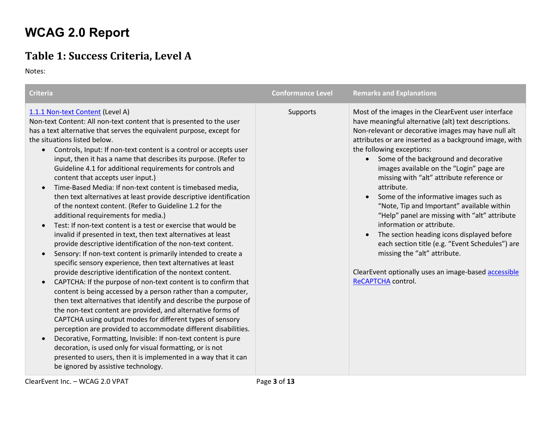# **WCAG 2.0 Report**

#### **Table 1: Success Criteria, Level A**

Notes:

| <b>Criteria</b>                                                                                                                                                                                                                                                                                                                                                                                                                                                                                                                                                                                                                                                                                                                                                                                                                                                                                                                                                                                                                                                                                                                                                                                                                                                                                                                                                                                                                                                                                                                                                                                                                                                                                                                                                                                      | <b>Conformance Level</b> | <b>Remarks and Explanations</b>                                                                                                                                                                                                                                                                                                                                                                                                                                                                                                                                                                                                                                                                                                                                                                |
|------------------------------------------------------------------------------------------------------------------------------------------------------------------------------------------------------------------------------------------------------------------------------------------------------------------------------------------------------------------------------------------------------------------------------------------------------------------------------------------------------------------------------------------------------------------------------------------------------------------------------------------------------------------------------------------------------------------------------------------------------------------------------------------------------------------------------------------------------------------------------------------------------------------------------------------------------------------------------------------------------------------------------------------------------------------------------------------------------------------------------------------------------------------------------------------------------------------------------------------------------------------------------------------------------------------------------------------------------------------------------------------------------------------------------------------------------------------------------------------------------------------------------------------------------------------------------------------------------------------------------------------------------------------------------------------------------------------------------------------------------------------------------------------------------|--------------------------|------------------------------------------------------------------------------------------------------------------------------------------------------------------------------------------------------------------------------------------------------------------------------------------------------------------------------------------------------------------------------------------------------------------------------------------------------------------------------------------------------------------------------------------------------------------------------------------------------------------------------------------------------------------------------------------------------------------------------------------------------------------------------------------------|
| 1.1.1 Non-text Content (Level A)<br>Non-text Content: All non-text content that is presented to the user<br>has a text alternative that serves the equivalent purpose, except for<br>the situations listed below.<br>Controls, Input: If non-text content is a control or accepts user<br>$\bullet$<br>input, then it has a name that describes its purpose. (Refer to<br>Guideline 4.1 for additional requirements for controls and<br>content that accepts user input.)<br>Time-Based Media: If non-text content is timebased media,<br>$\bullet$<br>then text alternatives at least provide descriptive identification<br>of the nontext content. (Refer to Guideline 1.2 for the<br>additional requirements for media.)<br>Test: If non-text content is a test or exercise that would be<br>invalid if presented in text, then text alternatives at least<br>provide descriptive identification of the non-text content.<br>Sensory: If non-text content is primarily intended to create a<br>$\bullet$<br>specific sensory experience, then text alternatives at least<br>provide descriptive identification of the nontext content.<br>CAPTCHA: If the purpose of non-text content is to confirm that<br>$\bullet$<br>content is being accessed by a person rather than a computer,<br>then text alternatives that identify and describe the purpose of<br>the non-text content are provided, and alternative forms of<br>CAPTCHA using output modes for different types of sensory<br>perception are provided to accommodate different disabilities.<br>Decorative, Formatting, Invisible: If non-text content is pure<br>decoration, is used only for visual formatting, or is not<br>presented to users, then it is implemented in a way that it can<br>be ignored by assistive technology. | Supports                 | Most of the images in the ClearEvent user interface<br>have meaningful alternative (alt) text descriptions.<br>Non-relevant or decorative images may have null alt<br>attributes or are inserted as a background image, with<br>the following exceptions:<br>Some of the background and decorative<br>images available on the "Login" page are<br>missing with "alt" attribute reference or<br>attribute.<br>Some of the informative images such as<br>"Note, Tip and Important" available within<br>"Help" panel are missing with "alt" attribute<br>information or attribute.<br>The section heading icons displayed before<br>each section title (e.g. "Event Schedules") are<br>missing the "alt" attribute.<br>ClearEvent optionally uses an image-based accessible<br>ReCAPTCHA control. |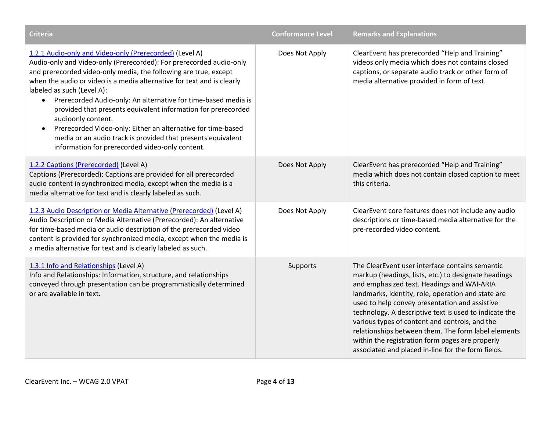| <b>Criteria</b>                                                                                                                                                                                                                                                                                                                                                                                                                                                                                                                                                                                                                                                                  | <b>Conformance Level</b> | <b>Remarks and Explanations</b>                                                                                                                                                                                                                                                                                                                                                                                                                                                                                                           |
|----------------------------------------------------------------------------------------------------------------------------------------------------------------------------------------------------------------------------------------------------------------------------------------------------------------------------------------------------------------------------------------------------------------------------------------------------------------------------------------------------------------------------------------------------------------------------------------------------------------------------------------------------------------------------------|--------------------------|-------------------------------------------------------------------------------------------------------------------------------------------------------------------------------------------------------------------------------------------------------------------------------------------------------------------------------------------------------------------------------------------------------------------------------------------------------------------------------------------------------------------------------------------|
| 1.2.1 Audio-only and Video-only (Prerecorded) (Level A)<br>Audio-only and Video-only (Prerecorded): For prerecorded audio-only<br>and prerecorded video-only media, the following are true, except<br>when the audio or video is a media alternative for text and is clearly<br>labeled as such (Level A):<br>Prerecorded Audio-only: An alternative for time-based media is<br>$\bullet$<br>provided that presents equivalent information for prerecorded<br>audioonly content.<br>Prerecorded Video-only: Either an alternative for time-based<br>$\bullet$<br>media or an audio track is provided that presents equivalent<br>information for prerecorded video-only content. | Does Not Apply           | ClearEvent has prerecorded "Help and Training"<br>videos only media which does not contains closed<br>captions, or separate audio track or other form of<br>media alternative provided in form of text.                                                                                                                                                                                                                                                                                                                                   |
| 1.2.2 Captions (Prerecorded) (Level A)<br>Captions (Prerecorded): Captions are provided for all prerecorded<br>audio content in synchronized media, except when the media is a<br>media alternative for text and is clearly labeled as such.                                                                                                                                                                                                                                                                                                                                                                                                                                     | Does Not Apply           | ClearEvent has prerecorded "Help and Training"<br>media which does not contain closed caption to meet<br>this criteria.                                                                                                                                                                                                                                                                                                                                                                                                                   |
| 1.2.3 Audio Description or Media Alternative (Prerecorded) (Level A)<br>Audio Description or Media Alternative (Prerecorded): An alternative<br>for time-based media or audio description of the prerecorded video<br>content is provided for synchronized media, except when the media is<br>a media alternative for text and is clearly labeled as such.                                                                                                                                                                                                                                                                                                                       | Does Not Apply           | ClearEvent core features does not include any audio<br>descriptions or time-based media alternative for the<br>pre-recorded video content.                                                                                                                                                                                                                                                                                                                                                                                                |
| 1.3.1 Info and Relationships (Level A)<br>Info and Relationships: Information, structure, and relationships<br>conveyed through presentation can be programmatically determined<br>or are available in text.                                                                                                                                                                                                                                                                                                                                                                                                                                                                     | Supports                 | The ClearEvent user interface contains semantic<br>markup (headings, lists, etc.) to designate headings<br>and emphasized text. Headings and WAI-ARIA<br>landmarks, identity, role, operation and state are<br>used to help convey presentation and assistive<br>technology. A descriptive text is used to indicate the<br>various types of content and controls, and the<br>relationships between them. The form label elements<br>within the registration form pages are properly<br>associated and placed in-line for the form fields. |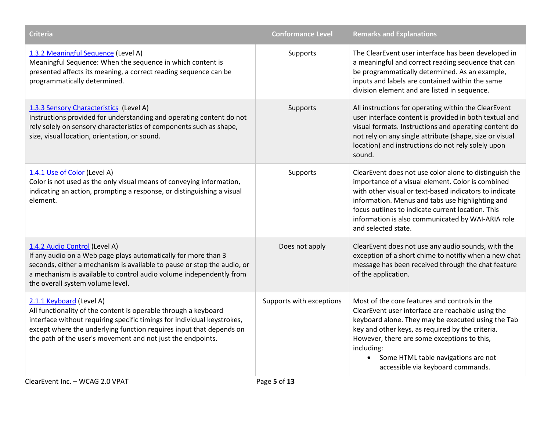| <b>Criteria</b>                                                                                                                                                                                                                                                                                              | <b>Conformance Level</b> | <b>Remarks and Explanations</b>                                                                                                                                                                                                                                                                                                                            |
|--------------------------------------------------------------------------------------------------------------------------------------------------------------------------------------------------------------------------------------------------------------------------------------------------------------|--------------------------|------------------------------------------------------------------------------------------------------------------------------------------------------------------------------------------------------------------------------------------------------------------------------------------------------------------------------------------------------------|
| 1.3.2 Meaningful Sequence (Level A)<br>Meaningful Sequence: When the sequence in which content is<br>presented affects its meaning, a correct reading sequence can be<br>programmatically determined.                                                                                                        | Supports                 | The ClearEvent user interface has been developed in<br>a meaningful and correct reading sequence that can<br>be programmatically determined. As an example,<br>inputs and labels are contained within the same<br>division element and are listed in sequence.                                                                                             |
| 1.3.3 Sensory Characteristics (Level A)<br>Instructions provided for understanding and operating content do not<br>rely solely on sensory characteristics of components such as shape,<br>size, visual location, orientation, or sound.                                                                      | Supports                 | All instructions for operating within the ClearEvent<br>user interface content is provided in both textual and<br>visual formats. Instructions and operating content do<br>not rely on any single attribute (shape, size or visual<br>location) and instructions do not rely solely upon<br>sound.                                                         |
| 1.4.1 Use of Color (Level A)<br>Color is not used as the only visual means of conveying information,<br>indicating an action, prompting a response, or distinguishing a visual<br>element.                                                                                                                   | Supports                 | ClearEvent does not use color alone to distinguish the<br>importance of a visual element. Color is combined<br>with other visual or text-based indicators to indicate<br>information. Menus and tabs use highlighting and<br>focus outlines to indicate current location. This<br>information is also communicated by WAI-ARIA role<br>and selected state. |
| 1.4.2 Audio Control (Level A)<br>If any audio on a Web page plays automatically for more than 3<br>seconds, either a mechanism is available to pause or stop the audio, or<br>a mechanism is available to control audio volume independently from<br>the overall system volume level.                        | Does not apply           | ClearEvent does not use any audio sounds, with the<br>exception of a short chime to notifiy when a new chat<br>message has been received through the chat feature<br>of the application.                                                                                                                                                                   |
| 2.1.1 Keyboard (Level A)<br>All functionality of the content is operable through a keyboard<br>interface without requiring specific timings for individual keystrokes,<br>except where the underlying function requires input that depends on<br>the path of the user's movement and not just the endpoints. | Supports with exceptions | Most of the core features and controls in the<br>ClearEvent user interface are reachable using the<br>keyboard alone. They may be executed using the Tab<br>key and other keys, as required by the criteria.<br>However, there are some exceptions to this,<br>including:<br>Some HTML table navigations are not<br>accessible via keyboard commands.      |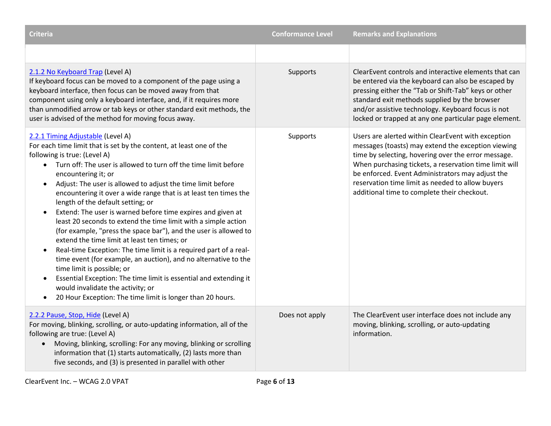| <b>Criteria</b>                                                                                                                                                                                                                                                                                                                                                                                                                                                                                                                                                                                                                                                                                                                                                                                                                                                                                                                                                                                                                                      | <b>Conformance Level</b> | <b>Remarks and Explanations</b>                                                                                                                                                                                                                                                                                                                                                  |
|------------------------------------------------------------------------------------------------------------------------------------------------------------------------------------------------------------------------------------------------------------------------------------------------------------------------------------------------------------------------------------------------------------------------------------------------------------------------------------------------------------------------------------------------------------------------------------------------------------------------------------------------------------------------------------------------------------------------------------------------------------------------------------------------------------------------------------------------------------------------------------------------------------------------------------------------------------------------------------------------------------------------------------------------------|--------------------------|----------------------------------------------------------------------------------------------------------------------------------------------------------------------------------------------------------------------------------------------------------------------------------------------------------------------------------------------------------------------------------|
|                                                                                                                                                                                                                                                                                                                                                                                                                                                                                                                                                                                                                                                                                                                                                                                                                                                                                                                                                                                                                                                      |                          |                                                                                                                                                                                                                                                                                                                                                                                  |
| 2.1.2 No Keyboard Trap (Level A)<br>If keyboard focus can be moved to a component of the page using a<br>keyboard interface, then focus can be moved away from that<br>component using only a keyboard interface, and, if it requires more<br>than unmodified arrow or tab keys or other standard exit methods, the<br>user is advised of the method for moving focus away.                                                                                                                                                                                                                                                                                                                                                                                                                                                                                                                                                                                                                                                                          | Supports                 | ClearEvent controls and interactive elements that can<br>be entered via the keyboard can also be escaped by<br>pressing either the "Tab or Shift-Tab" keys or other<br>standard exit methods supplied by the browser<br>and/or assistive technology. Keyboard focus is not<br>locked or trapped at any one particular page element.                                              |
| 2.2.1 Timing Adjustable (Level A)<br>For each time limit that is set by the content, at least one of the<br>following is true: (Level A)<br>Turn off: The user is allowed to turn off the time limit before<br>$\bullet$<br>encountering it; or<br>Adjust: The user is allowed to adjust the time limit before<br>encountering it over a wide range that is at least ten times the<br>length of the default setting; or<br>Extend: The user is warned before time expires and given at<br>least 20 seconds to extend the time limit with a simple action<br>(for example, "press the space bar"), and the user is allowed to<br>extend the time limit at least ten times; or<br>Real-time Exception: The time limit is a required part of a real-<br>$\bullet$<br>time event (for example, an auction), and no alternative to the<br>time limit is possible; or<br>Essential Exception: The time limit is essential and extending it<br>$\bullet$<br>would invalidate the activity; or<br>20 Hour Exception: The time limit is longer than 20 hours. | Supports                 | Users are alerted within ClearEvent with exception<br>messages (toasts) may extend the exception viewing<br>time by selecting, hovering over the error message.<br>When purchasing tickets, a reservation time limit will<br>be enforced. Event Administrators may adjust the<br>reservation time limit as needed to allow buyers<br>additional time to complete their checkout. |
| 2.2.2 Pause, Stop, Hide (Level A)<br>For moving, blinking, scrolling, or auto-updating information, all of the<br>following are true: (Level A)<br>Moving, blinking, scrolling: For any moving, blinking or scrolling<br>information that (1) starts automatically, (2) lasts more than<br>five seconds, and (3) is presented in parallel with other                                                                                                                                                                                                                                                                                                                                                                                                                                                                                                                                                                                                                                                                                                 | Does not apply           | The ClearEvent user interface does not include any<br>moving, blinking, scrolling, or auto-updating<br>information.                                                                                                                                                                                                                                                              |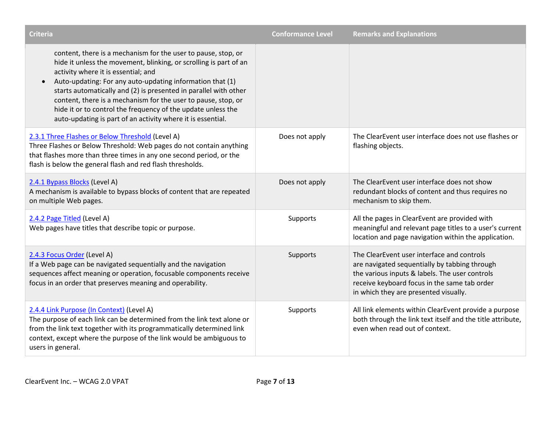| <b>Criteria</b>                                                                                                                                                                                                                                                                                                                                                                                                                                                                                            | <b>Conformance Level</b> | <b>Remarks and Explanations</b>                                                                                                                                                                                                        |
|------------------------------------------------------------------------------------------------------------------------------------------------------------------------------------------------------------------------------------------------------------------------------------------------------------------------------------------------------------------------------------------------------------------------------------------------------------------------------------------------------------|--------------------------|----------------------------------------------------------------------------------------------------------------------------------------------------------------------------------------------------------------------------------------|
| content, there is a mechanism for the user to pause, stop, or<br>hide it unless the movement, blinking, or scrolling is part of an<br>activity where it is essential; and<br>Auto-updating: For any auto-updating information that (1)<br>starts automatically and (2) is presented in parallel with other<br>content, there is a mechanism for the user to pause, stop, or<br>hide it or to control the frequency of the update unless the<br>auto-updating is part of an activity where it is essential. |                          |                                                                                                                                                                                                                                        |
| 2.3.1 Three Flashes or Below Threshold (Level A)<br>Three Flashes or Below Threshold: Web pages do not contain anything<br>that flashes more than three times in any one second period, or the<br>flash is below the general flash and red flash thresholds.                                                                                                                                                                                                                                               | Does not apply           | The ClearEvent user interface does not use flashes or<br>flashing objects.                                                                                                                                                             |
| 2.4.1 Bypass Blocks (Level A)<br>A mechanism is available to bypass blocks of content that are repeated<br>on multiple Web pages.                                                                                                                                                                                                                                                                                                                                                                          | Does not apply           | The ClearEvent user interface does not show<br>redundant blocks of content and thus requires no<br>mechanism to skip them.                                                                                                             |
| 2.4.2 Page Titled (Level A)<br>Web pages have titles that describe topic or purpose.                                                                                                                                                                                                                                                                                                                                                                                                                       | Supports                 | All the pages in ClearEvent are provided with<br>meaningful and relevant page titles to a user's current<br>location and page navigation within the application.                                                                       |
| 2.4.3 Focus Order (Level A)<br>If a Web page can be navigated sequentially and the navigation<br>sequences affect meaning or operation, focusable components receive<br>focus in an order that preserves meaning and operability.                                                                                                                                                                                                                                                                          | Supports                 | The ClearEvent user interface and controls<br>are navigated sequentially by tabbing through<br>the various inputs & labels. The user controls<br>receive keyboard focus in the same tab order<br>in which they are presented visually. |
| 2.4.4 Link Purpose (In Context) (Level A)<br>The purpose of each link can be determined from the link text alone or<br>from the link text together with its programmatically determined link<br>context, except where the purpose of the link would be ambiguous to<br>users in general.                                                                                                                                                                                                                   | Supports                 | All link elements within ClearEvent provide a purpose<br>both through the link text itself and the title attribute,<br>even when read out of context.                                                                                  |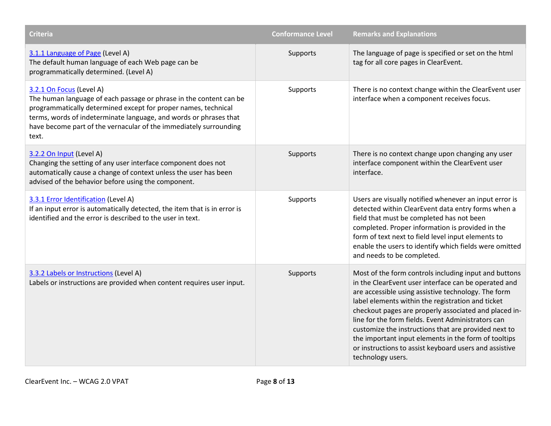| <b>Criteria</b>                                                                                                                                                                                                                                                                                                     | <b>Conformance Level</b> | <b>Remarks and Explanations</b>                                                                                                                                                                                                                                                                                                                                                                                                                                                                                                         |
|---------------------------------------------------------------------------------------------------------------------------------------------------------------------------------------------------------------------------------------------------------------------------------------------------------------------|--------------------------|-----------------------------------------------------------------------------------------------------------------------------------------------------------------------------------------------------------------------------------------------------------------------------------------------------------------------------------------------------------------------------------------------------------------------------------------------------------------------------------------------------------------------------------------|
| 3.1.1 Language of Page (Level A)<br>The default human language of each Web page can be<br>programmatically determined. (Level A)                                                                                                                                                                                    | Supports                 | The language of page is specified or set on the html<br>tag for all core pages in ClearEvent.                                                                                                                                                                                                                                                                                                                                                                                                                                           |
| 3.2.1 On Focus (Level A)<br>The human language of each passage or phrase in the content can be<br>programmatically determined except for proper names, technical<br>terms, words of indeterminate language, and words or phrases that<br>have become part of the vernacular of the immediately surrounding<br>text. | Supports                 | There is no context change within the ClearEvent user<br>interface when a component receives focus.                                                                                                                                                                                                                                                                                                                                                                                                                                     |
| 3.2.2 On Input (Level A)<br>Changing the setting of any user interface component does not<br>automatically cause a change of context unless the user has been<br>advised of the behavior before using the component.                                                                                                | Supports                 | There is no context change upon changing any user<br>interface component within the ClearEvent user<br>interface.                                                                                                                                                                                                                                                                                                                                                                                                                       |
| 3.3.1 Error Identification (Level A)<br>If an input error is automatically detected, the item that is in error is<br>identified and the error is described to the user in text.                                                                                                                                     | Supports                 | Users are visually notified whenever an input error is<br>detected within ClearEvent data entry forms when a<br>field that must be completed has not been<br>completed. Proper information is provided in the<br>form of text next to field level input elements to<br>enable the users to identify which fields were omitted<br>and needs to be completed.                                                                                                                                                                             |
| 3.3.2 Labels or Instructions (Level A)<br>Labels or instructions are provided when content requires user input.                                                                                                                                                                                                     | Supports                 | Most of the form controls including input and buttons<br>in the ClearEvent user interface can be operated and<br>are accessible using assistive technology. The form<br>label elements within the registration and ticket<br>checkout pages are properly associated and placed in-<br>line for the form fields. Event Administrators can<br>customize the instructions that are provided next to<br>the important input elements in the form of tooltips<br>or instructions to assist keyboard users and assistive<br>technology users. |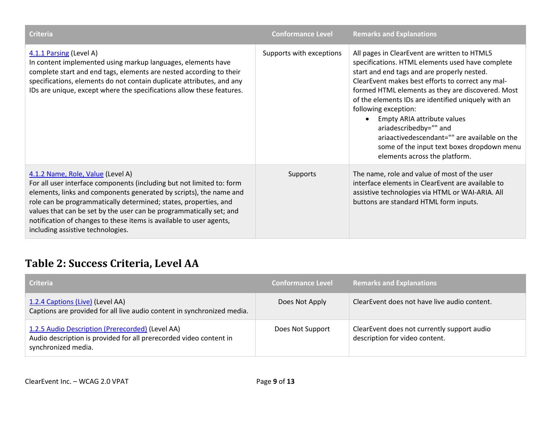| <b>Criteria</b>                                                                                                                                                                                                                                                                                                                                                                                                                         | <b>Conformance Level</b> | <b>Remarks and Explanations</b>                                                                                                                                                                                                                                                                                                                                                                                                                                                                                                  |
|-----------------------------------------------------------------------------------------------------------------------------------------------------------------------------------------------------------------------------------------------------------------------------------------------------------------------------------------------------------------------------------------------------------------------------------------|--------------------------|----------------------------------------------------------------------------------------------------------------------------------------------------------------------------------------------------------------------------------------------------------------------------------------------------------------------------------------------------------------------------------------------------------------------------------------------------------------------------------------------------------------------------------|
| 4.1.1 Parsing (Level A)<br>In content implemented using markup languages, elements have<br>complete start and end tags, elements are nested according to their<br>specifications, elements do not contain duplicate attributes, and any<br>IDs are unique, except where the specifications allow these features.                                                                                                                        | Supports with exceptions | All pages in ClearEvent are written to HTML5<br>specifications. HTML elements used have complete<br>start and end tags and are properly nested.<br>ClearEvent makes best efforts to correct any mal-<br>formed HTML elements as they are discovered. Most<br>of the elements IDs are identified uniquely with an<br>following exception:<br>Empty ARIA attribute values<br>ariadescribedby="" and<br>ariaactivedescendant="" are available on the<br>some of the input text boxes dropdown menu<br>elements across the platform. |
| 4.1.2 Name, Role, Value (Level A)<br>For all user interface components (including but not limited to: form<br>elements, links and components generated by scripts), the name and<br>role can be programmatically determined; states, properties, and<br>values that can be set by the user can be programmatically set; and<br>notification of changes to these items is available to user agents,<br>including assistive technologies. | Supports                 | The name, role and value of most of the user<br>interface elements in ClearEvent are available to<br>assistive technologies via HTML or WAI-ARIA. All<br>buttons are standard HTML form inputs.                                                                                                                                                                                                                                                                                                                                  |

#### **Table 2: Success Criteria, Level AA**

| Criteria                                                                                                                                      | <b>Conformance Level</b> | <b>Remarks and Explanations</b>                                               |
|-----------------------------------------------------------------------------------------------------------------------------------------------|--------------------------|-------------------------------------------------------------------------------|
| 1.2.4 Captions (Live) (Level AA)<br>Captions are provided for all live audio content in synchronized media.                                   | Does Not Apply           | ClearEvent does not have live audio content.                                  |
| 1.2.5 Audio Description (Prerecorded) (Level AA)<br>Audio description is provided for all prerecorded video content in<br>synchronized media. | Does Not Support         | ClearEvent does not currently support audio<br>description for video content. |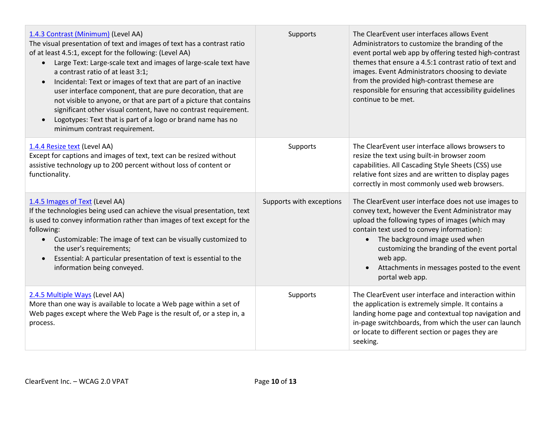| 1.4.3 Contrast (Minimum) (Level AA)<br>The visual presentation of text and images of text has a contrast ratio<br>of at least 4.5:1, except for the following: (Level AA)<br>Large Text: Large-scale text and images of large-scale text have<br>a contrast ratio of at least 3:1;<br>Incidental: Text or images of text that are part of an inactive<br>$\bullet$<br>user interface component, that are pure decoration, that are<br>not visible to anyone, or that are part of a picture that contains<br>significant other visual content, have no contrast requirement.<br>Logotypes: Text that is part of a logo or brand name has no<br>$\bullet$<br>minimum contrast requirement. | Supports                 | The ClearEvent user interfaces allows Event<br>Administrators to customize the branding of the<br>event portal web app by offering tested high-contrast<br>themes that ensure a 4.5:1 contrast ratio of text and<br>images. Event Administrators choosing to deviate<br>from the provided high-contrast themese are<br>responsible for ensuring that accessibility guidelines<br>continue to be met. |
|------------------------------------------------------------------------------------------------------------------------------------------------------------------------------------------------------------------------------------------------------------------------------------------------------------------------------------------------------------------------------------------------------------------------------------------------------------------------------------------------------------------------------------------------------------------------------------------------------------------------------------------------------------------------------------------|--------------------------|------------------------------------------------------------------------------------------------------------------------------------------------------------------------------------------------------------------------------------------------------------------------------------------------------------------------------------------------------------------------------------------------------|
| 1.4.4 Resize text (Level AA)<br>Except for captions and images of text, text can be resized without<br>assistive technology up to 200 percent without loss of content or<br>functionality.                                                                                                                                                                                                                                                                                                                                                                                                                                                                                               | Supports                 | The ClearEvent user interface allows browsers to<br>resize the text using built-in browser zoom<br>capabilities. All Cascading Style Sheets (CSS) use<br>relative font sizes and are written to display pages<br>correctly in most commonly used web browsers.                                                                                                                                       |
| 1.4.5 Images of Text (Level AA)<br>If the technologies being used can achieve the visual presentation, text<br>is used to convey information rather than images of text except for the<br>following:<br>Customizable: The image of text can be visually customized to<br>$\bullet$<br>the user's requirements;<br>Essential: A particular presentation of text is essential to the<br>$\bullet$<br>information being conveyed.                                                                                                                                                                                                                                                           | Supports with exceptions | The ClearEvent user interface does not use images to<br>convey text, however the Event Administrator may<br>upload the following types of images (which may<br>contain text used to convey information):<br>• The background image used when<br>customizing the branding of the event portal<br>web app.<br>Attachments in messages posted to the event<br>portal web app.                           |
| 2.4.5 Multiple Ways (Level AA)<br>More than one way is available to locate a Web page within a set of<br>Web pages except where the Web Page is the result of, or a step in, a<br>process.                                                                                                                                                                                                                                                                                                                                                                                                                                                                                               | Supports                 | The ClearEvent user interface and interaction within<br>the application is extremely simple. It contains a<br>landing home page and contextual top navigation and<br>in-page switchboards, from which the user can launch<br>or locate to different section or pages they are<br>seeking.                                                                                                            |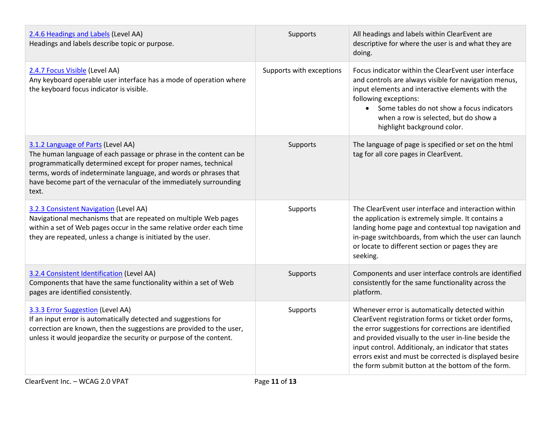| 2.4.6 Headings and Labels (Level AA)<br>Headings and labels describe topic or purpose.                                                                                                                                                                                                                                        | Supports                 | All headings and labels within ClearEvent are<br>descriptive for where the user is and what they are<br>doing.                                                                                                                                                                                                                                                                                 |
|-------------------------------------------------------------------------------------------------------------------------------------------------------------------------------------------------------------------------------------------------------------------------------------------------------------------------------|--------------------------|------------------------------------------------------------------------------------------------------------------------------------------------------------------------------------------------------------------------------------------------------------------------------------------------------------------------------------------------------------------------------------------------|
| 2.4.7 Focus Visible (Level AA)<br>Any keyboard operable user interface has a mode of operation where<br>the keyboard focus indicator is visible.                                                                                                                                                                              | Supports with exceptions | Focus indicator within the ClearEvent user interface<br>and controls are always visible for navigation menus,<br>input elements and interactive elements with the<br>following exceptions:<br>• Some tables do not show a focus indicators<br>when a row is selected, but do show a<br>highlight background color.                                                                             |
| 3.1.2 Language of Parts (Level AA)<br>The human language of each passage or phrase in the content can be<br>programmatically determined except for proper names, technical<br>terms, words of indeterminate language, and words or phrases that<br>have become part of the vernacular of the immediately surrounding<br>text. | Supports                 | The language of page is specified or set on the html<br>tag for all core pages in ClearEvent.                                                                                                                                                                                                                                                                                                  |
| 3.2.3 Consistent Navigation (Level AA)<br>Navigational mechanisms that are repeated on multiple Web pages<br>within a set of Web pages occur in the same relative order each time<br>they are repeated, unless a change is initiated by the user.                                                                             | Supports                 | The ClearEvent user interface and interaction within<br>the application is extremely simple. It contains a<br>landing home page and contextual top navigation and<br>in-page switchboards, from which the user can launch<br>or locate to different section or pages they are<br>seeking.                                                                                                      |
| 3.2.4 Consistent Identification (Level AA)<br>Components that have the same functionality within a set of Web<br>pages are identified consistently.                                                                                                                                                                           | Supports                 | Components and user interface controls are identified<br>consistently for the same functionality across the<br>platform.                                                                                                                                                                                                                                                                       |
| 3.3.3 Error Suggestion (Level AA)<br>If an input error is automatically detected and suggestions for<br>correction are known, then the suggestions are provided to the user,<br>unless it would jeopardize the security or purpose of the content.                                                                            | Supports                 | Whenever error is automatically detected within<br>ClearEvent registration forms or ticket order forms,<br>the error suggestions for corrections are identified<br>and provided visually to the user in-line beside the<br>input control. Additionaly, an indicator that states<br>errors exist and must be corrected is displayed besire<br>the form submit button at the bottom of the form. |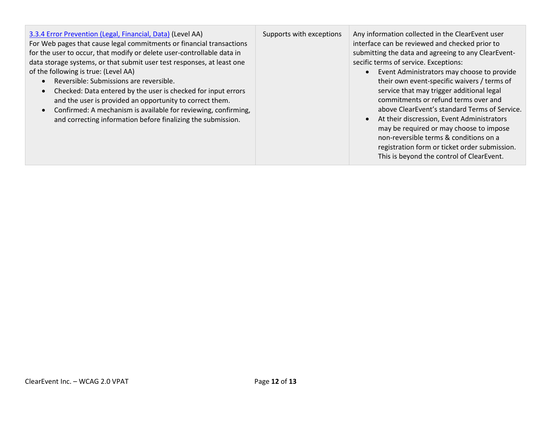#### [3.3.4 Error Prevention \(Legal, Financial, Data\)](http://www.w3.org/TR/WCAG20/#minimize-error-reversible) (Level AA)

For Web pages that cause legal commitments or financial transactions for the user to occur, that modify or delete user-controllable data in data storage systems, or that submit user test responses, at least one of the following is true: (Level AA)

- Reversible: Submissions are reversible.
- Checked: Data entered by the user is checked for input errors and the user is provided an opportunity to correct them.
- Confirmed: A mechanism is available for reviewing, confirming, and correcting information before finalizing the submission.

Supports with exceptions  $\parallel$  Any information collected in the ClearEvent user interface can be reviewed and checked prior to submitting the data and agreeing to any ClearEventsecific terms of service. Exceptions:

- Event Administrators may choose to provide their own event-specific waivers / terms of service that may trigger additional legal commitments or refund terms over and above ClearEvent's standard Terms of Service.
- At their discression, Event Administrators may be required or may choose to impose non-reversible terms & conditions on a registration form or ticket order submission. This is beyond the control of ClearEvent.